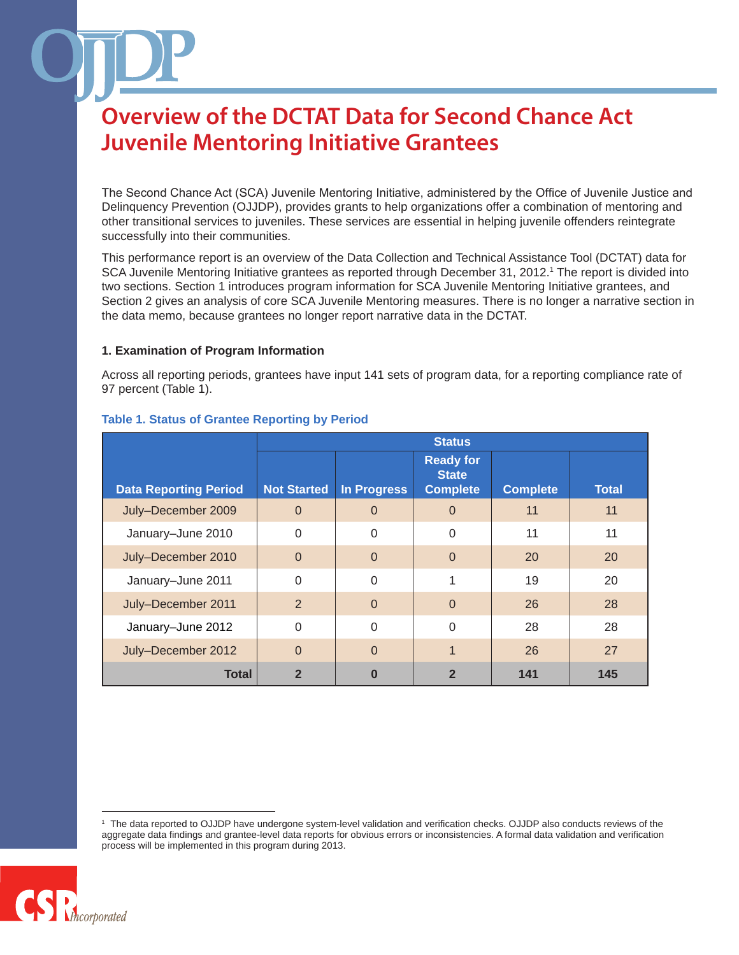The Second Chance Act (SCA) Juvenile Mentoring Initiative, administered by the Office of Juvenile Justice and Delinquency Prevention (OJJDP), provides grants to help organizations offer a combination of mentoring and other transitional services to juveniles. These services are essential in helping juvenile offenders reintegrate successfully into their communities.

This performance report is an overview of the Data Collection and Technical Assistance Tool (DCTAT) data for SCA Juvenile Mentoring Initiative grantees as reported through December 31, 2012.<sup>1</sup> The report is divided into two sections. Section 1 introduces program information for SCA Juvenile Mentoring Initiative grantees, and Section 2 gives an analysis of core SCA Juvenile Mentoring measures. There is no longer a narrative section in the data memo, because grantees no longer report narrative data in the DCTAT.

#### **1. Examination of Program Information**

Across all reporting periods, grantees have input 141 sets of program data, for a reporting compliance rate of 97 percent (Table 1).

|                              | <b>Status</b>      |                    |                                                     |                 |              |
|------------------------------|--------------------|--------------------|-----------------------------------------------------|-----------------|--------------|
| <b>Data Reporting Period</b> | <b>Not Started</b> | <b>In Progress</b> | <b>Ready for</b><br><b>State</b><br><b>Complete</b> | <b>Complete</b> | <b>Total</b> |
| July-December 2009           | $\Omega$           | $\Omega$           | $\overline{0}$                                      | 11              | 11           |
| January-June 2010            | $\Omega$           | $\Omega$           | $\Omega$                                            | 11              | 11           |
| July-December 2010           | $\Omega$           | $\Omega$           | $\Omega$                                            | 20              | 20           |
| January-June 2011            | $\Omega$           | $\Omega$           |                                                     | 19              | 20           |
| July-December 2011           | $\overline{2}$     | $\Omega$           | $\Omega$                                            | 26              | 28           |
| January-June 2012            | $\Omega$           | $\Omega$           | $\Omega$                                            | 28              | 28           |
| July-December 2012           | $\Omega$           | $\Omega$           | 1                                                   | 26              | 27           |
| <b>Total</b>                 | $\mathbf 2$        |                    | 2                                                   | 141             | 145          |

#### **Table 1. Status of Grantee Reporting by Period**

<sup>1</sup> The data reported to OJJDP have undergone system-level validation and verification checks. OJJDP also conducts reviews of the aggregate data findings and grantee-level data reports for obvious errors or inconsistencies. A formal data validation and verification process will be implemented in this program during 2013.

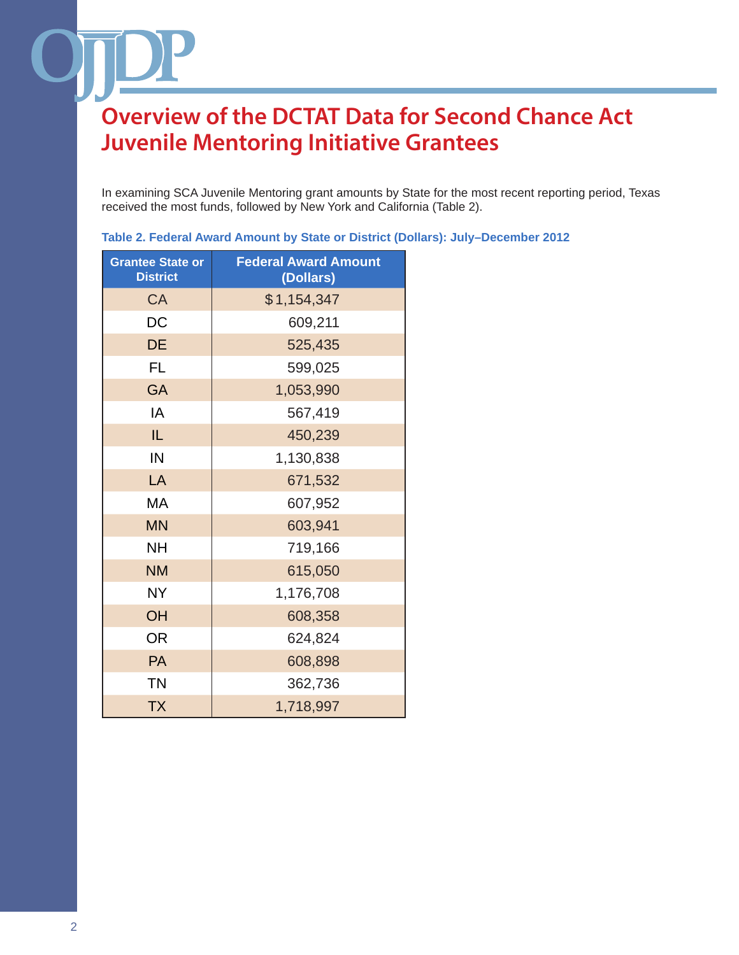In examining SCA Juvenile Mentoring grant amounts by State for the most recent reporting period, Texas received the most funds, followed by New York and California (Table 2).

| <b>Grantee State or</b><br><b>District</b> | <b>Federal Award Amount</b><br>(Dollars) |  |  |
|--------------------------------------------|------------------------------------------|--|--|
| <b>CA</b>                                  | \$1,154,347                              |  |  |
| DC                                         | 609,211                                  |  |  |
| DE                                         | 525,435                                  |  |  |
| <b>FL</b>                                  | 599,025                                  |  |  |
| <b>GA</b>                                  | 1,053,990                                |  |  |
| IA                                         | 567,419                                  |  |  |
| IL                                         | 450,239                                  |  |  |
| IN                                         | 1,130,838                                |  |  |
| LA                                         | 671,532                                  |  |  |
| МA                                         | 607,952                                  |  |  |
| <b>MN</b>                                  | 603,941                                  |  |  |
| <b>NH</b>                                  | 719,166                                  |  |  |
| <b>NM</b>                                  | 615,050                                  |  |  |
| <b>NY</b>                                  | 1,176,708                                |  |  |
| OH                                         | 608,358                                  |  |  |
| <b>OR</b>                                  | 624,824                                  |  |  |
| PA                                         | 608,898                                  |  |  |
| <b>TN</b>                                  | 362,736                                  |  |  |
| <b>TX</b>                                  | 1,718,997                                |  |  |

**Table 2. Federal Award Amount by State or District (Dollars): July–December 2012**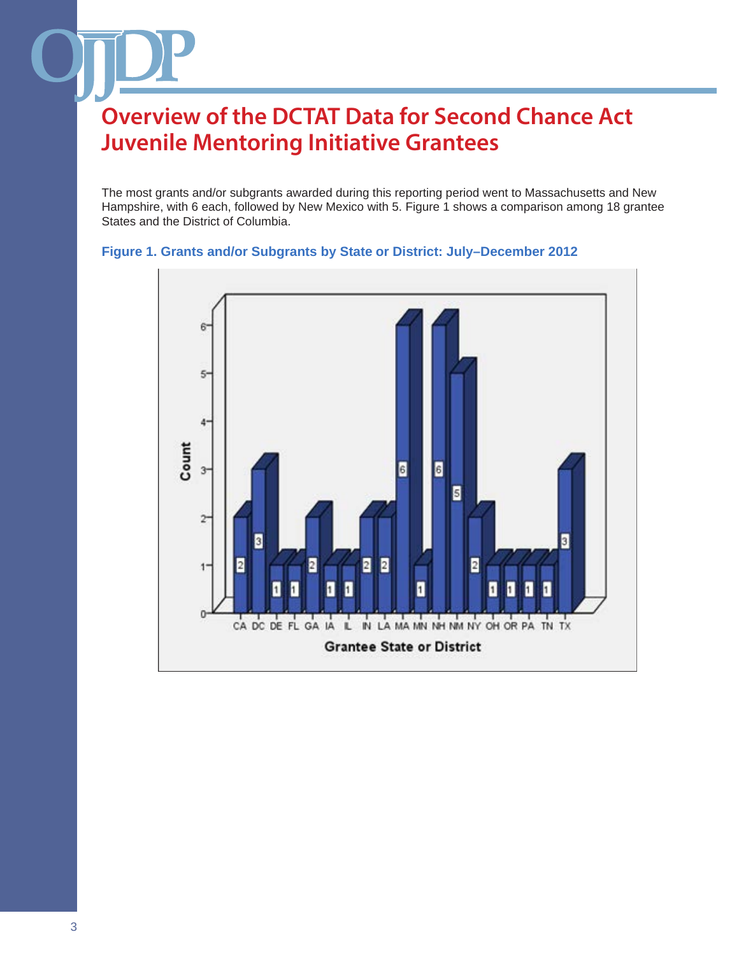The most grants and/or subgrants awarded during this reporting period went to Massachusetts and New Hampshire, with 6 each, followed by New Mexico with 5. Figure 1 shows a comparison among 18 grantee States and the District of Columbia.

### **Figure 1. Grants and/or Subgrants by State or District: July–December 2012**

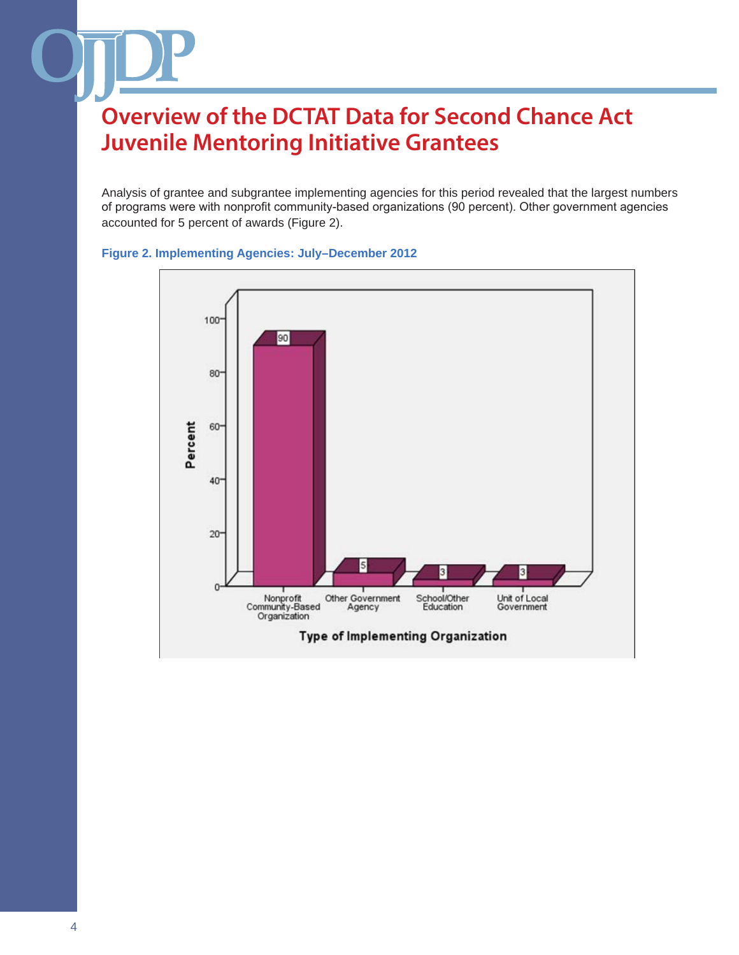Analysis of grantee and subgrantee implementing agencies for this period revealed that the largest numbers of programs were with nonprofit community-based organizations (90 percent). Other government agencies accounted for 5 percent of awards (Figure 2).



#### **Figure 2. Implementing Agencies: July–December 2012**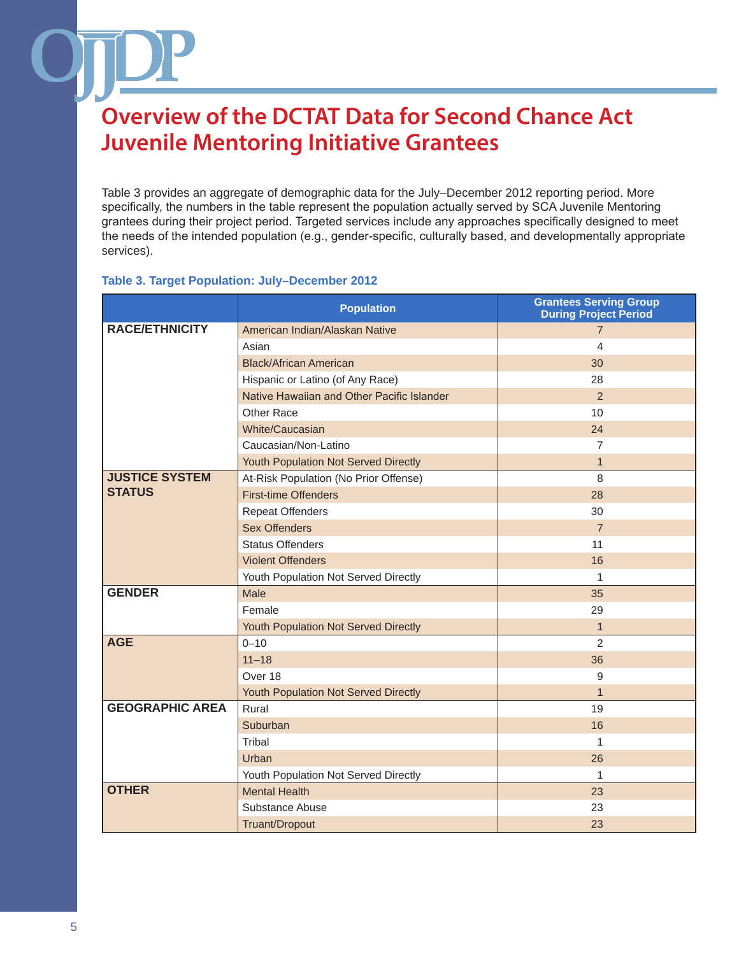Table 3 provides an aggregate of demographic data for the July–December 2012 reporting period. More specifically, the numbers in the table represent the population actually served by SCA Juvenile Mentoring grantees during their project period. Targeted services include any approaches specifically designed to meet the needs of the intended population (e.g., gender-specific, culturally based, and developmentally appropriate services).

#### **Table 3. Target Population: July–December 2012**

|                        | <b>Population</b>                          | <b>Grantees Serving Group</b><br><b>During Project Period</b> |
|------------------------|--------------------------------------------|---------------------------------------------------------------|
| <b>RACE/ETHNICITY</b>  | American Indian/Alaskan Native             | $\overline{7}$                                                |
|                        | Asian                                      | $\overline{\mathcal{L}}$                                      |
|                        | <b>Black/African American</b>              | 30                                                            |
|                        | Hispanic or Latino (of Any Race)           | 28                                                            |
|                        | Native Hawaiian and Other Pacific Islander | 2                                                             |
|                        | Other Race                                 | 10                                                            |
|                        | White/Caucasian                            | 24                                                            |
|                        | Caucasian/Non-Latino                       | $\overline{7}$                                                |
|                        | Youth Population Not Served Directly       | $\mathbf{1}$                                                  |
| <b>JUSTICE SYSTEM</b>  | At-Risk Population (No Prior Offense)      | 8                                                             |
| <b>STATUS</b>          | <b>First-time Offenders</b>                | 28                                                            |
|                        | <b>Repeat Offenders</b>                    | 30                                                            |
|                        | <b>Sex Offenders</b>                       | $\overline{7}$                                                |
|                        | <b>Status Offenders</b>                    | 11                                                            |
|                        | <b>Violent Offenders</b>                   | 16                                                            |
|                        | Youth Population Not Served Directly       | 1                                                             |
| <b>GENDER</b>          | Male                                       | 35                                                            |
|                        | Female                                     | 29                                                            |
|                        | Youth Population Not Served Directly       | $\mathbf{1}$                                                  |
| <b>AGE</b>             | $0 - 10$                                   | $\overline{2}$                                                |
|                        | $11 - 18$                                  | 36                                                            |
|                        | Over 18                                    | 9                                                             |
|                        | Youth Population Not Served Directly       | $\mathbf{1}$                                                  |
| <b>GEOGRAPHIC AREA</b> | Rural                                      | 19                                                            |
|                        | Suburban                                   | 16                                                            |
|                        | Tribal                                     | 1                                                             |
|                        | Urban                                      | 26                                                            |
|                        | Youth Population Not Served Directly       | $\mathbf{1}$                                                  |
| <b>OTHER</b>           | <b>Mental Health</b>                       | 23                                                            |
|                        | Substance Abuse                            | 23                                                            |
|                        | Truant/Dropout                             | 23                                                            |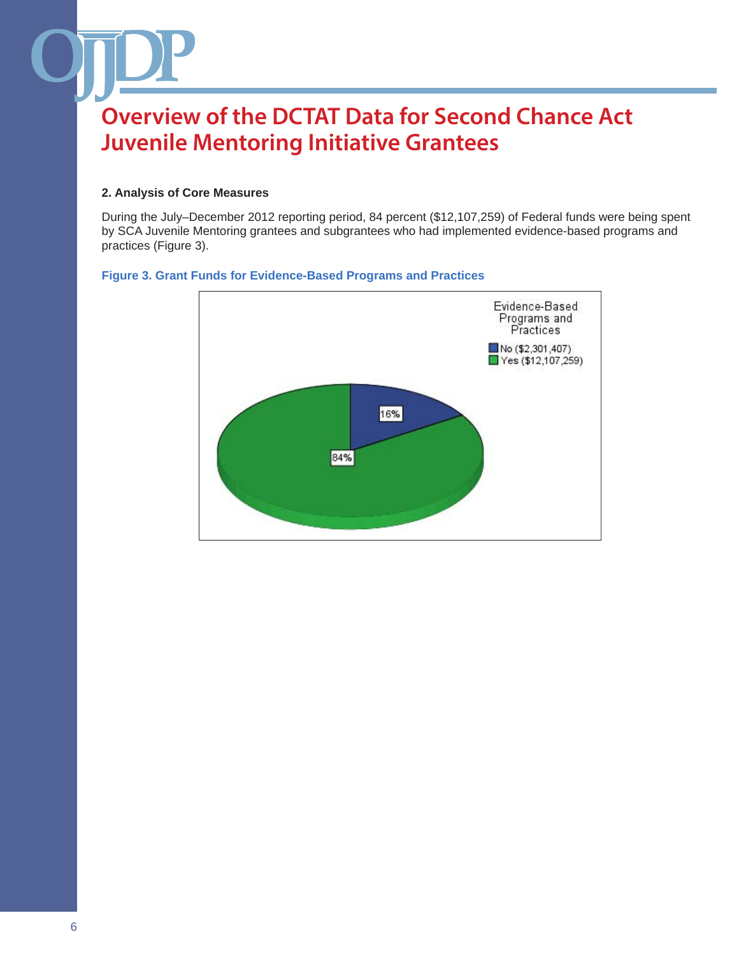#### **2. Analysis of Core Measures**

During the July–December 2012 reporting period, 84 percent (\$12,107,259) of Federal funds were being spent by SCA Juvenile Mentoring grantees and subgrantees who had implemented evidence-based programs and practices (Figure 3).

#### **Figure 3. Grant Funds for Evidence-Based Programs and Practices**

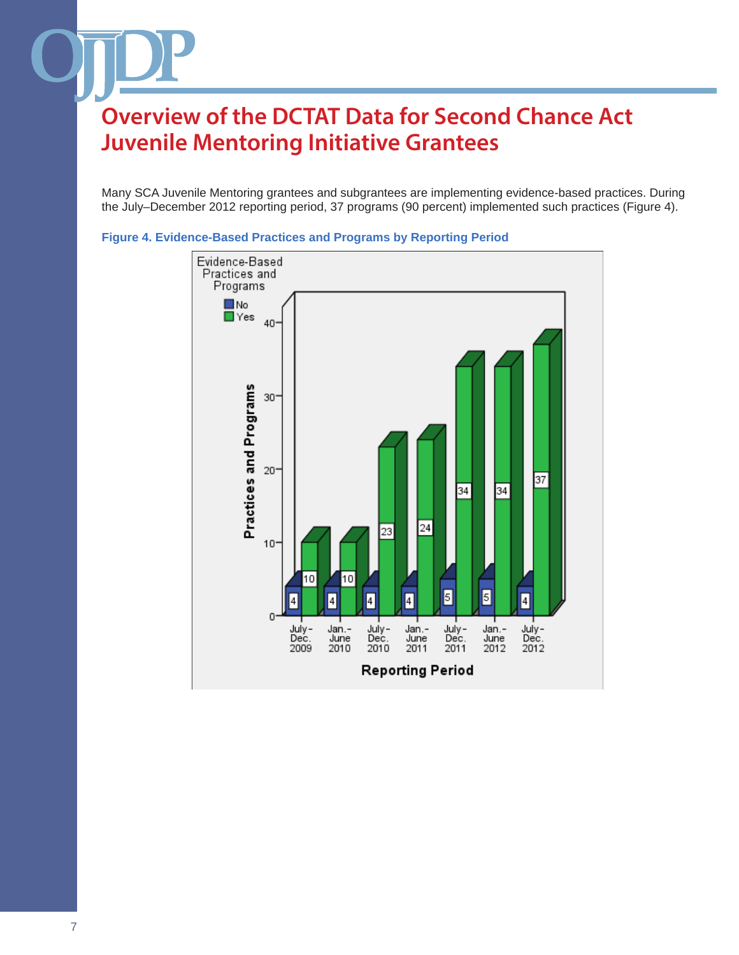Many SCA Juvenile Mentoring grantees and subgrantees are implementing evidence-based practices. During the July–December 2012 reporting period, 37 programs (90 percent) implemented such practices (Figure 4).



**Figure 4. Evidence-Based Practices and Programs by Reporting Period**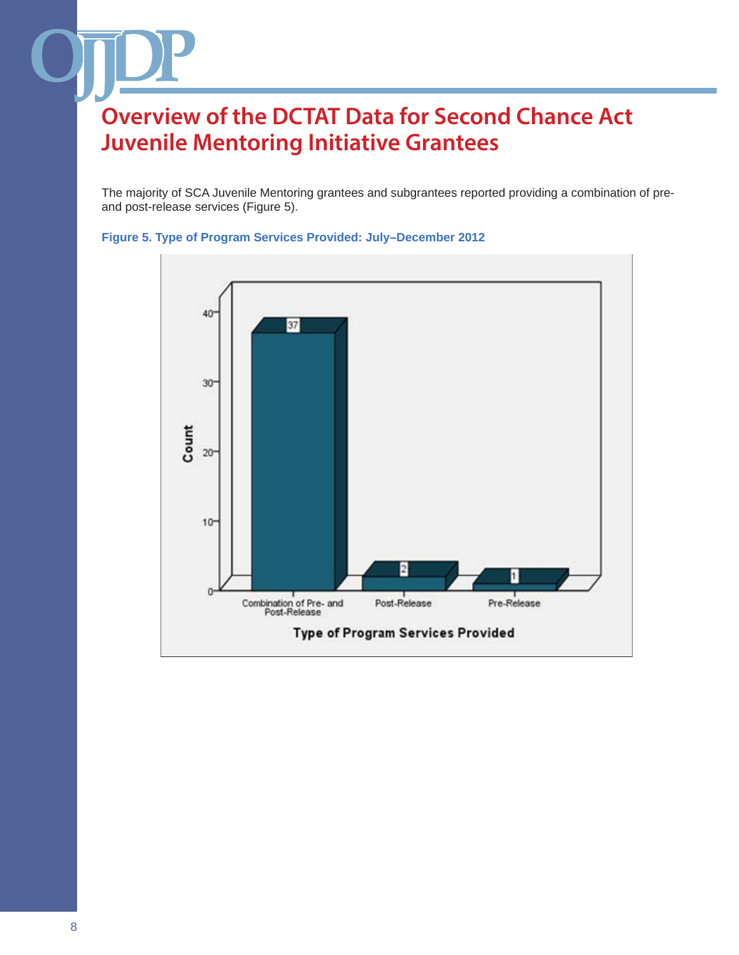The majority of SCA Juvenile Mentoring grantees and subgrantees reported providing a combination of preand post-release services (Figure 5).



#### **Figure 5. Type of Program Services Provided: July–December 2012**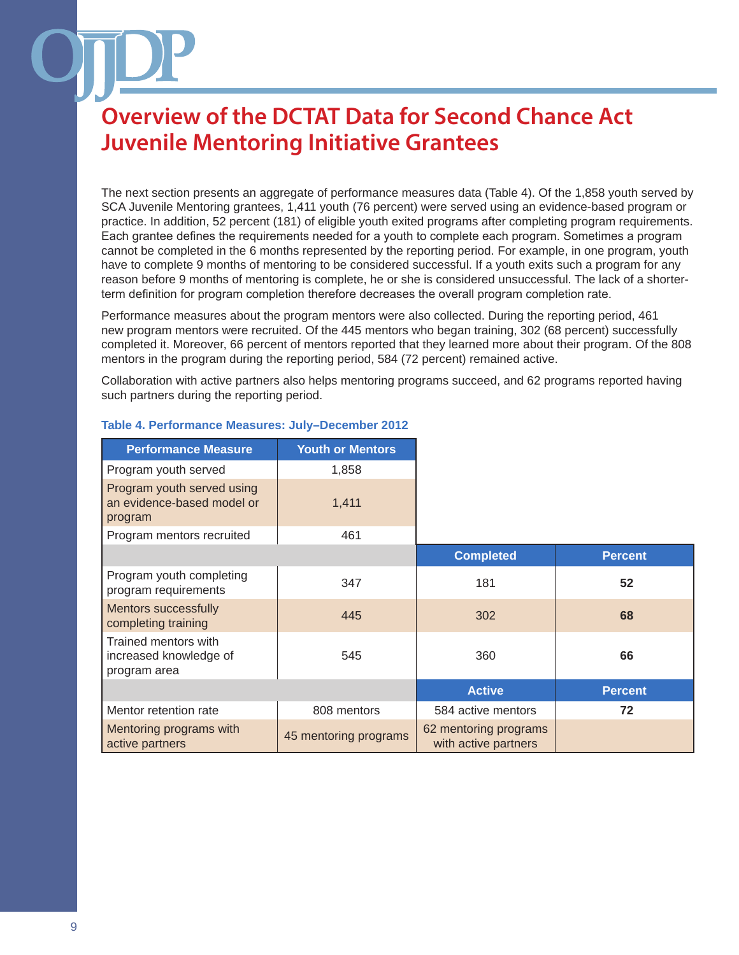The next section presents an aggregate of performance measures data (Table 4). Of the 1,858 youth served by SCA Juvenile Mentoring grantees, 1,411 youth (76 percent) were served using an evidence-based program or practice. In addition, 52 percent (181) of eligible youth exited programs after completing program requirements. Each grantee defines the requirements needed for a youth to complete each program. Sometimes a program cannot be completed in the 6 months represented by the reporting period. For example, in one program, youth have to complete 9 months of mentoring to be considered successful. If a youth exits such a program for any reason before 9 months of mentoring is complete, he or she is considered unsuccessful. The lack of a shorterterm definition for program completion therefore decreases the overall program completion rate.

Performance measures about the program mentors were also collected. During the reporting period, 461 new program mentors were recruited. Of the 445 mentors who began training, 302 (68 percent) successfully completed it. Moreover, 66 percent of mentors reported that they learned more about their program. Of the 808 mentors in the program during the reporting period, 584 (72 percent) remained active.

Collaboration with active partners also helps mentoring programs succeed, and 62 programs reported having such partners during the reporting period.

| <b>Performance Measure</b>                                          | <b>Youth or Mentors</b> |                                               |                |
|---------------------------------------------------------------------|-------------------------|-----------------------------------------------|----------------|
| Program youth served                                                | 1,858                   |                                               |                |
| Program youth served using<br>an evidence-based model or<br>program | 1,411                   |                                               |                |
| Program mentors recruited                                           | 461                     |                                               |                |
|                                                                     |                         | <b>Completed</b>                              | <b>Percent</b> |
| Program youth completing<br>program requirements                    | 347                     | 181                                           | 52             |
| <b>Mentors successfully</b><br>completing training                  | 445                     | 302                                           | 68             |
| Trained mentors with<br>increased knowledge of<br>program area      | 545                     | 360                                           | 66             |
|                                                                     |                         | <b>Active</b>                                 | <b>Percent</b> |
| Mentor retention rate                                               | 808 mentors             | 584 active mentors                            | 72             |
| Mentoring programs with<br>active partners                          | 45 mentoring programs   | 62 mentoring programs<br>with active partners |                |

#### **Table 4. Performance Measures: July–December 2012**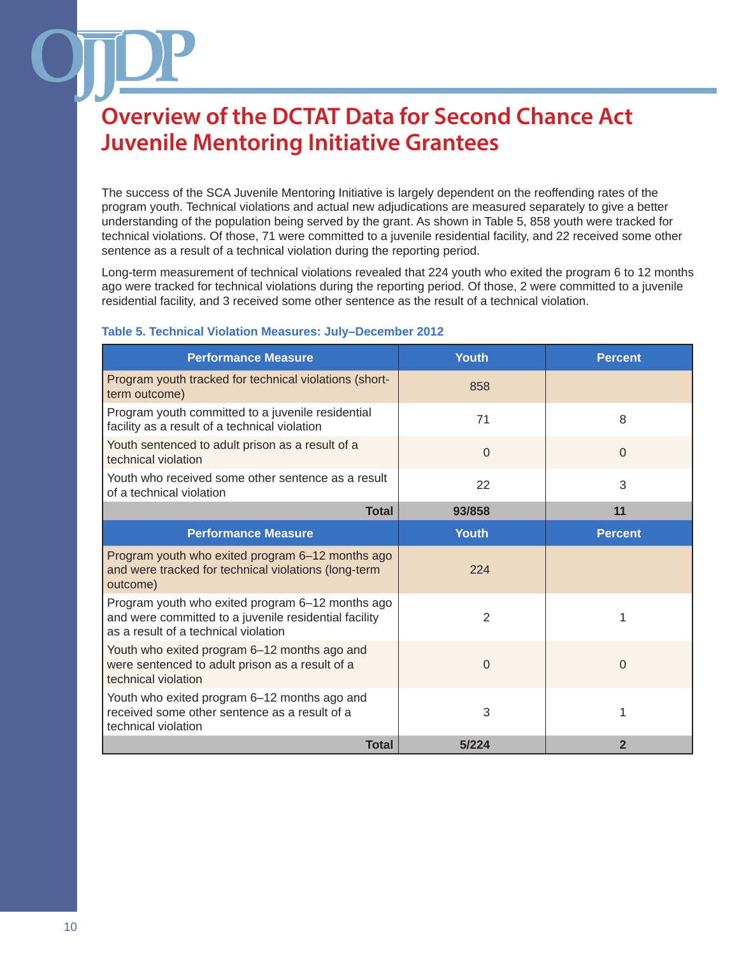The success of the SCA Juvenile Mentoring Initiative is largely dependent on the reoffending rates of the program youth. Technical violations and actual new adjudications are measured separately to give a better understanding of the population being served by the grant. As shown in Table 5, 858 youth were tracked for technical violations. Of those, 71 were committed to a juvenile residential facility, and 22 received some other sentence as a result of a technical violation during the reporting period.

Long-term measurement of technical violations revealed that 224 youth who exited the program 6 to 12 months ago were tracked for technical violations during the reporting period. Of those, 2 were committed to a juvenile residential facility, and 3 received some other sentence as the result of a technical violation.

| <b>Performance Measure</b>                                                                                                                        | <b>Youth</b>   | <b>Percent</b> |
|---------------------------------------------------------------------------------------------------------------------------------------------------|----------------|----------------|
| Program youth tracked for technical violations (short-<br>term outcome)                                                                           | 858            |                |
| Program youth committed to a juvenile residential<br>facility as a result of a technical violation                                                | 71             | 8              |
| Youth sentenced to adult prison as a result of a<br>technical violation                                                                           | $\Omega$       | $\Omega$       |
| Youth who received some other sentence as a result<br>of a technical violation                                                                    | 22             | 3              |
| <b>Total</b>                                                                                                                                      | 93/858         | 11             |
| <b>Performance Measure</b>                                                                                                                        | <b>Youth</b>   | <b>Percent</b> |
| Program youth who exited program 6-12 months ago<br>and were tracked for technical violations (long-term<br>outcome)                              | 224            |                |
| Program youth who exited program 6-12 months ago<br>and were committed to a juvenile residential facility<br>as a result of a technical violation | $\overline{2}$ | 1              |
| Youth who exited program 6-12 months ago and<br>were sentenced to adult prison as a result of a<br>technical violation                            | $\Omega$       | $\Omega$       |
| Youth who exited program 6-12 months ago and<br>received some other sentence as a result of a<br>technical violation                              | 3              |                |
| <b>Total</b>                                                                                                                                      | 5/224          | 2              |

#### **Table 5. Technical Violation Measures: July–December 2012**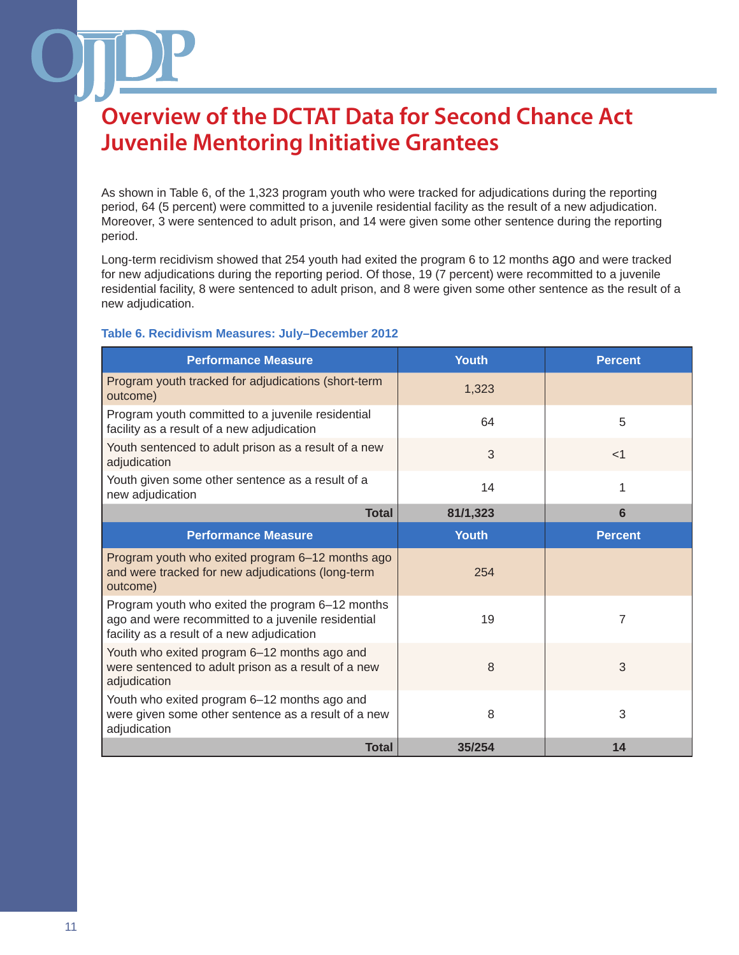As shown in Table 6, of the 1,323 program youth who were tracked for adjudications during the reporting period, 64 (5 percent) were committed to a juvenile residential facility as the result of a new adjudication. Moreover, 3 were sentenced to adult prison, and 14 were given some other sentence during the reporting period.

Long-term recidivism showed that 254 youth had exited the program 6 to 12 months ago and were tracked for new adjudications during the reporting period. Of those, 19 (7 percent) were recommitted to a juvenile residential facility, 8 were sentenced to adult prison, and 8 were given some other sentence as the result of a new adjudication.

### **Table 6. Recidivism Measures: July–December 2012**

| <b>Performance Measure</b>                                                                                                                           | <b>Youth</b> | <b>Percent</b> |
|------------------------------------------------------------------------------------------------------------------------------------------------------|--------------|----------------|
| Program youth tracked for adjudications (short-term<br>outcome)                                                                                      | 1,323        |                |
| Program youth committed to a juvenile residential<br>facility as a result of a new adjudication                                                      | 64           | 5              |
| Youth sentenced to adult prison as a result of a new<br>adjudication                                                                                 | 3            | $<$ 1          |
| Youth given some other sentence as a result of a<br>new adjudication                                                                                 | 14           | 1              |
| <b>Total</b>                                                                                                                                         | 81/1,323     | 6              |
| <b>Performance Measure</b>                                                                                                                           | <b>Youth</b> | <b>Percent</b> |
| Program youth who exited program 6-12 months ago<br>and were tracked for new adjudications (long-term<br>outcome)                                    | 254          |                |
| Program youth who exited the program 6-12 months<br>ago and were recommitted to a juvenile residential<br>facility as a result of a new adjudication | 19           | $\overline{7}$ |
| Youth who exited program 6-12 months ago and<br>were sentenced to adult prison as a result of a new<br>adjudication                                  | 8            | 3              |
| Youth who exited program 6-12 months ago and<br>were given some other sentence as a result of a new<br>adjudication                                  | 8            | 3              |
| <b>Total</b>                                                                                                                                         | 35/254       | 14             |